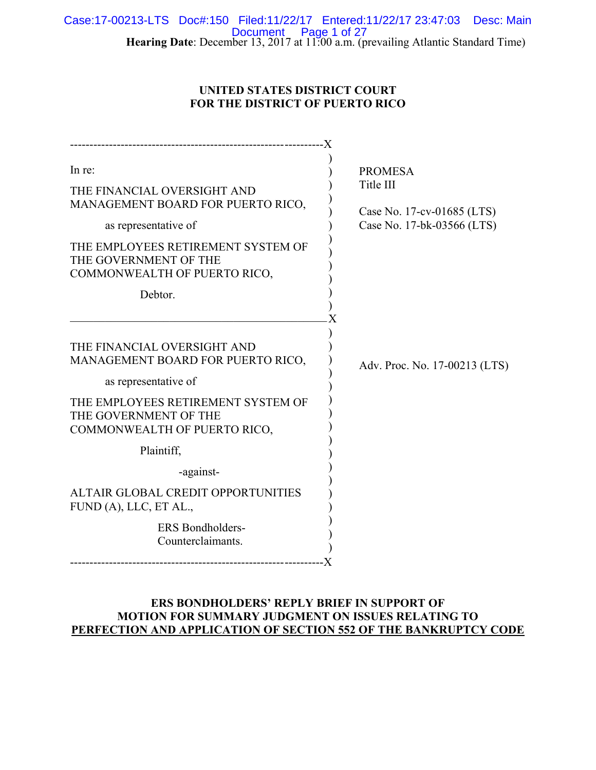**Hearing Date**: December 13, 2017 at 11:00 a.m. (prevailing Atlantic Standard Time) Case:17-00213-LTS Doc#:150 Filed:11/22/17 Entered:11/22/17 23:47:03 Desc: Main Document Page 1 of 27

# **UNITED STATES DISTRICT COURT FOR THE DISTRICT OF PUERTO RICO**

| In re:<br>THE FINANCIAL OVERSIGHT AND<br>MANAGEMENT BOARD FOR PUERTO RICO,<br>as representative of<br>THE EMPLOYEES RETIREMENT SYSTEM OF<br>THE GOVERNMENT OF THE<br>COMMONWEALTH OF PUERTO RICO,<br>Debtor.                                                                                                                       | <b>PROMESA</b><br>Title III<br>Case No. 17-cv-01685 (LTS)<br>Case No. 17-bk-03566 (LTS) |
|------------------------------------------------------------------------------------------------------------------------------------------------------------------------------------------------------------------------------------------------------------------------------------------------------------------------------------|-----------------------------------------------------------------------------------------|
| THE FINANCIAL OVERSIGHT AND<br>MANAGEMENT BOARD FOR PUERTO RICO,<br>as representative of<br>THE EMPLOYEES RETIREMENT SYSTEM OF<br>THE GOVERNMENT OF THE<br>COMMONWEALTH OF PUERTO RICO,<br>Plaintiff,<br>-against-<br>ALTAIR GLOBAL CREDIT OPPORTUNITIES<br>FUND (A), LLC, ET AL.,<br><b>ERS</b> Bondholders-<br>Counterclaimants. | Adv. Proc. No. 17-00213 (LTS)                                                           |

# **ERS BONDHOLDERS' REPLY BRIEF IN SUPPORT OF MOTION FOR SUMMARY JUDGMENT ON ISSUES RELATING TO PERFECTION AND APPLICATION OF SECTION 552 OF THE BANKRUPTCY CODE**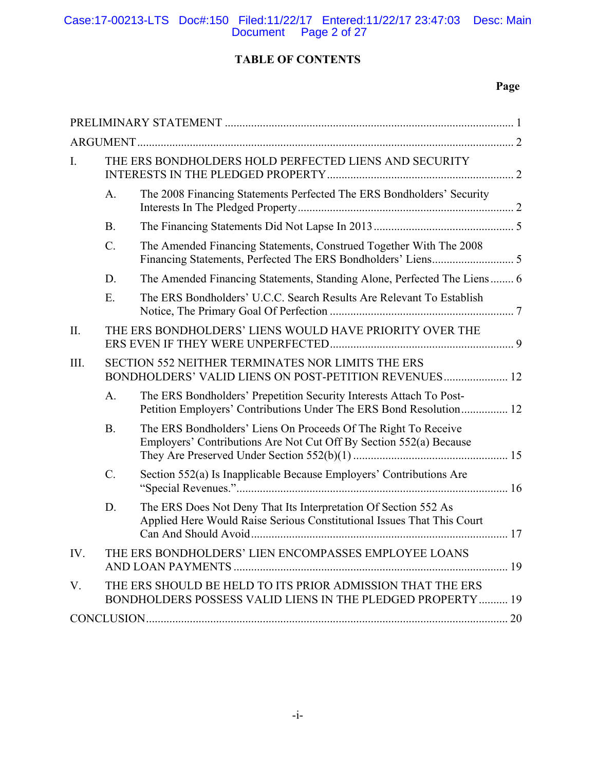# Case:17-00213-LTS Doc#:150 Filed:11/22/17 Entered:11/22/17 23:47:03 Desc: Main Document Page 2 of 27

# **TABLE OF CONTENTS**

# **Page**

| THE ERS BONDHOLDERS HOLD PERFECTED LIENS AND SECURITY<br>I. |           |                                                                                                                                           |  |
|-------------------------------------------------------------|-----------|-------------------------------------------------------------------------------------------------------------------------------------------|--|
|                                                             | A.        | The 2008 Financing Statements Perfected The ERS Bondholders' Security                                                                     |  |
|                                                             | <b>B.</b> |                                                                                                                                           |  |
|                                                             | C.        | The Amended Financing Statements, Construed Together With The 2008                                                                        |  |
|                                                             | D.        | The Amended Financing Statements, Standing Alone, Perfected The Liens 6                                                                   |  |
|                                                             | E.        | The ERS Bondholders' U.C.C. Search Results Are Relevant To Establish                                                                      |  |
| Π.                                                          |           | THE ERS BONDHOLDERS' LIENS WOULD HAVE PRIORITY OVER THE                                                                                   |  |
| III.                                                        |           | SECTION 552 NEITHER TERMINATES NOR LIMITS THE ERS<br>BONDHOLDERS' VALID LIENS ON POST-PETITION REVENUES 12                                |  |
|                                                             | A.        | The ERS Bondholders' Prepetition Security Interests Attach To Post-<br>Petition Employers' Contributions Under The ERS Bond Resolution 12 |  |
|                                                             | <b>B.</b> | The ERS Bondholders' Liens On Proceeds Of The Right To Receive<br>Employers' Contributions Are Not Cut Off By Section 552(a) Because      |  |
|                                                             | C.        | Section 552(a) Is Inapplicable Because Employers' Contributions Are                                                                       |  |
|                                                             | D.        | The ERS Does Not Deny That Its Interpretation Of Section 552 As<br>Applied Here Would Raise Serious Constitutional Issues That This Court |  |
| IV.                                                         |           | THE ERS BONDHOLDERS' LIEN ENCOMPASSES EMPLOYEE LOANS                                                                                      |  |
| V.                                                          |           | THE ERS SHOULD BE HELD TO ITS PRIOR ADMISSION THAT THE ERS<br>BONDHOLDERS POSSESS VALID LIENS IN THE PLEDGED PROPERTY  19                 |  |
|                                                             |           |                                                                                                                                           |  |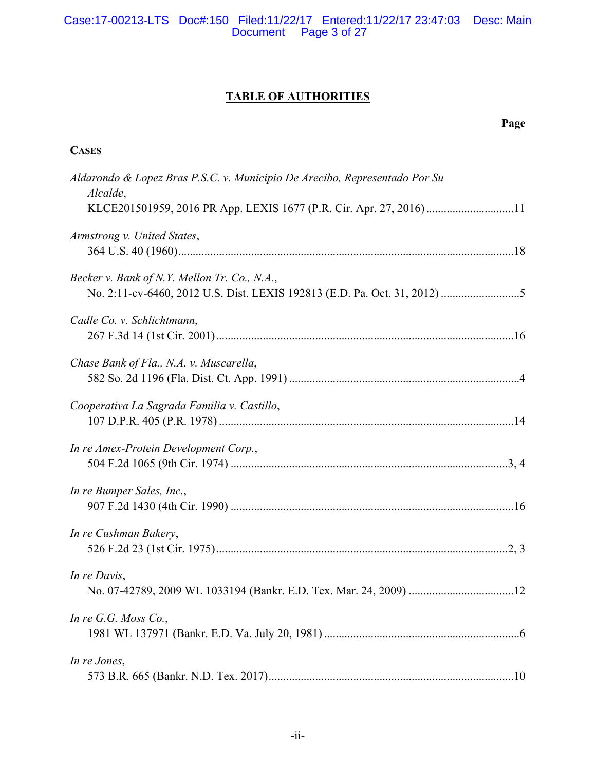# Case:17-00213-LTS Doc#:150 Filed:11/22/17 Entered:11/22/17 23:47:03 Desc: Main Document Page 3 of 27

# **TABLE OF AUTHORITIES**

**CASES**

# **Page**

| Aldarondo & Lopez Bras P.S.C. v. Municipio De Arecibo, Representado Por Su<br>Alcalde, |
|----------------------------------------------------------------------------------------|
| KLCE201501959, 2016 PR App. LEXIS 1677 (P.R. Cir. Apr. 27, 2016) 11                    |
| Armstrong v. United States,                                                            |
| Becker v. Bank of N.Y. Mellon Tr. Co., N.A.,                                           |
| Cadle Co. v. Schlichtmann,                                                             |
| Chase Bank of Fla., N.A. v. Muscarella,                                                |
| Cooperativa La Sagrada Familia v. Castillo,                                            |
| In re Amex-Protein Development Corp.,                                                  |
| In re Bumper Sales, Inc.,                                                              |
| In re Cushman Bakery,                                                                  |
| In re Davis,                                                                           |
| In re G.G. Moss $Co$ ,                                                                 |
| In re Jones,                                                                           |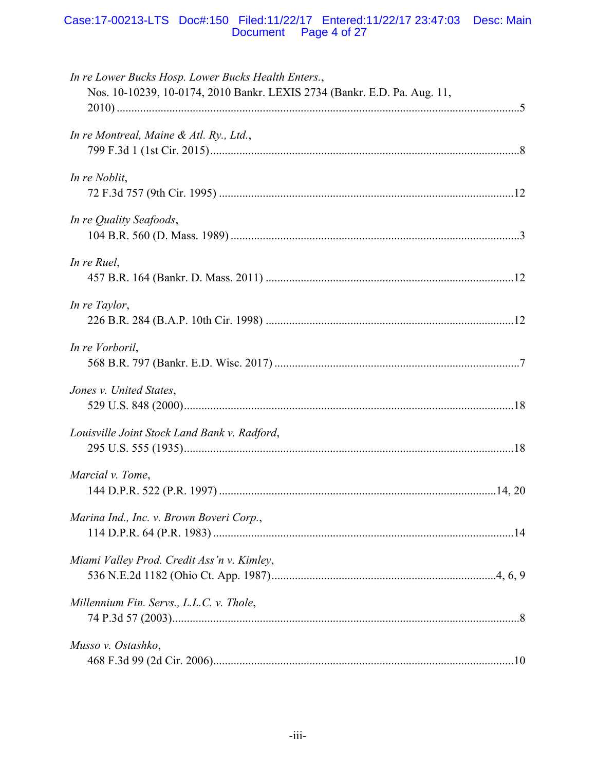# Case:17-00213-LTS Doc#:150 Filed:11/22/17 Entered:11/22/17 23:47:03 Desc: Main<br>Document Page 4 of 27

| In re Lower Bucks Hosp. Lower Bucks Health Enters.,<br>Nos. 10-10239, 10-0174, 2010 Bankr. LEXIS 2734 (Bankr. E.D. Pa. Aug. 11, |  |
|---------------------------------------------------------------------------------------------------------------------------------|--|
| In re Montreal, Maine & Atl. Ry., Ltd.,                                                                                         |  |
| In re Noblit,                                                                                                                   |  |
| In re Quality Seafoods,                                                                                                         |  |
| In re Ruel,                                                                                                                     |  |
| In re Taylor,                                                                                                                   |  |
| In re Vorboril,                                                                                                                 |  |
| Jones v. United States,                                                                                                         |  |
| Louisville Joint Stock Land Bank v. Radford,                                                                                    |  |
| Marcial v. Tome,                                                                                                                |  |
| Marina Ind., Inc. v. Brown Boveri Corp.,                                                                                        |  |
| Miami Valley Prod. Credit Ass'n v. Kimley,                                                                                      |  |
| Millennium Fin. Servs., L.L.C. v. Thole,                                                                                        |  |
| Musso v. Ostashko,                                                                                                              |  |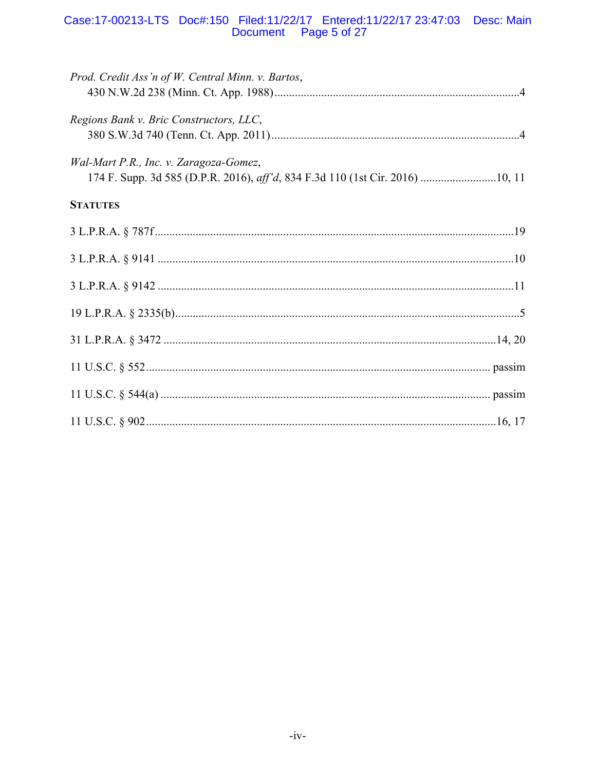# Case:17-00213-LTS Doc#:150 Filed:11/22/17 Entered:11/22/17 23:47:03 Desc: Main<br>Document Page 5 of 27

| Prod. Credit Ass'n of W. Central Minn. v. Bartos, |
|---------------------------------------------------|
| Regions Bank v. Bric Constructors, LLC,           |
| Wal-Mart P.R., Inc. v. Zaragoza-Gomez,            |
| <b>STATUTES</b>                                   |
|                                                   |
|                                                   |
|                                                   |
|                                                   |
|                                                   |
|                                                   |
|                                                   |
|                                                   |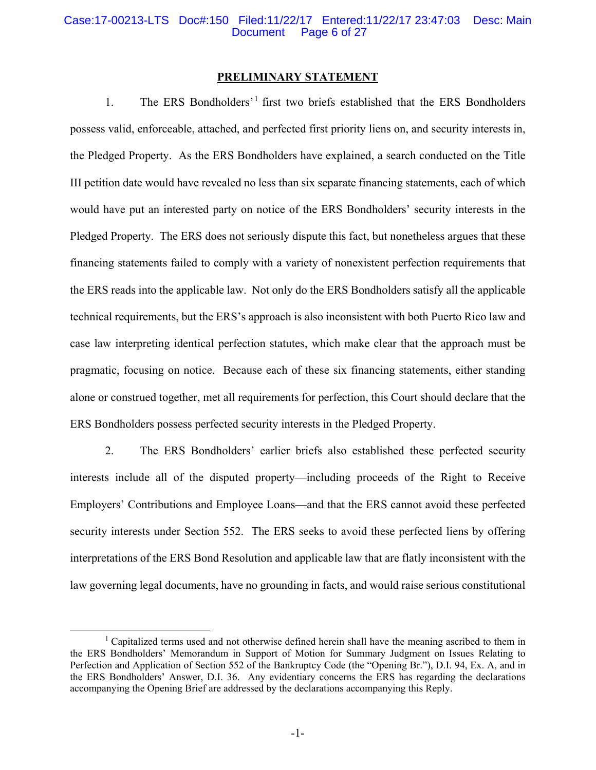#### Case:17-00213-LTS Doc#:150 Filed:11/22/17 Entered:11/22/17 23:47:03 Desc: Main Page 6 of 27

#### **PRELIMINARY STATEMENT**

1. The ERS Bondholders'1 first two briefs established that the ERS Bondholders possess valid, enforceable, attached, and perfected first priority liens on, and security interests in, the Pledged Property. As the ERS Bondholders have explained, a search conducted on the Title III petition date would have revealed no less than six separate financing statements, each of which would have put an interested party on notice of the ERS Bondholders' security interests in the Pledged Property. The ERS does not seriously dispute this fact, but nonetheless argues that these financing statements failed to comply with a variety of nonexistent perfection requirements that the ERS reads into the applicable law. Not only do the ERS Bondholders satisfy all the applicable technical requirements, but the ERS's approach is also inconsistent with both Puerto Rico law and case law interpreting identical perfection statutes, which make clear that the approach must be pragmatic, focusing on notice. Because each of these six financing statements, either standing alone or construed together, met all requirements for perfection, this Court should declare that the ERS Bondholders possess perfected security interests in the Pledged Property.

2. The ERS Bondholders' earlier briefs also established these perfected security interests include all of the disputed property—including proceeds of the Right to Receive Employers' Contributions and Employee Loans—and that the ERS cannot avoid these perfected security interests under Section 552. The ERS seeks to avoid these perfected liens by offering interpretations of the ERS Bond Resolution and applicable law that are flatly inconsistent with the law governing legal documents, have no grounding in facts, and would raise serious constitutional

<sup>&</sup>lt;u>1</u> <sup>1</sup> Capitalized terms used and not otherwise defined herein shall have the meaning ascribed to them in the ERS Bondholders' Memorandum in Support of Motion for Summary Judgment on Issues Relating to Perfection and Application of Section 552 of the Bankruptcy Code (the "Opening Br."), D.I. 94, Ex. A, and in the ERS Bondholders' Answer, D.I. 36. Any evidentiary concerns the ERS has regarding the declarations accompanying the Opening Brief are addressed by the declarations accompanying this Reply.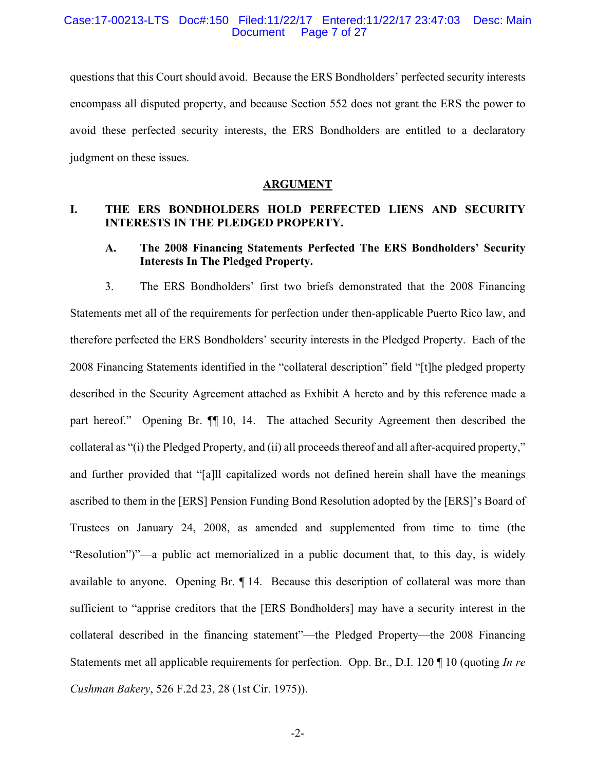#### Case:17-00213-LTS Doc#:150 Filed:11/22/17 Entered:11/22/17 23:47:03 Desc: Main Page 7 of 27

questions that this Court should avoid. Because the ERS Bondholders' perfected security interests encompass all disputed property, and because Section 552 does not grant the ERS the power to avoid these perfected security interests, the ERS Bondholders are entitled to a declaratory judgment on these issues.

#### **ARGUMENT**

# **I. THE ERS BONDHOLDERS HOLD PERFECTED LIENS AND SECURITY INTERESTS IN THE PLEDGED PROPERTY.**

# **A. The 2008 Financing Statements Perfected The ERS Bondholders' Security Interests In The Pledged Property.**

3. The ERS Bondholders' first two briefs demonstrated that the 2008 Financing Statements met all of the requirements for perfection under then-applicable Puerto Rico law, and therefore perfected the ERS Bondholders' security interests in the Pledged Property. Each of the 2008 Financing Statements identified in the "collateral description" field "[t]he pledged property described in the Security Agreement attached as Exhibit A hereto and by this reference made a part hereof." Opening Br. ¶¶ 10, 14. The attached Security Agreement then described the collateral as "(i) the Pledged Property, and (ii) all proceeds thereof and all after-acquired property," and further provided that "[a]ll capitalized words not defined herein shall have the meanings ascribed to them in the [ERS] Pension Funding Bond Resolution adopted by the [ERS]'s Board of Trustees on January 24, 2008, as amended and supplemented from time to time (the "Resolution")"—a public act memorialized in a public document that, to this day, is widely available to anyone. Opening Br. ¶ 14. Because this description of collateral was more than sufficient to "apprise creditors that the [ERS Bondholders] may have a security interest in the collateral described in the financing statement"—the Pledged Property—the 2008 Financing Statements met all applicable requirements for perfection. Opp. Br., D.I. 120 ¶ 10 (quoting *In re Cushman Bakery*, 526 F.2d 23, 28 (1st Cir. 1975)).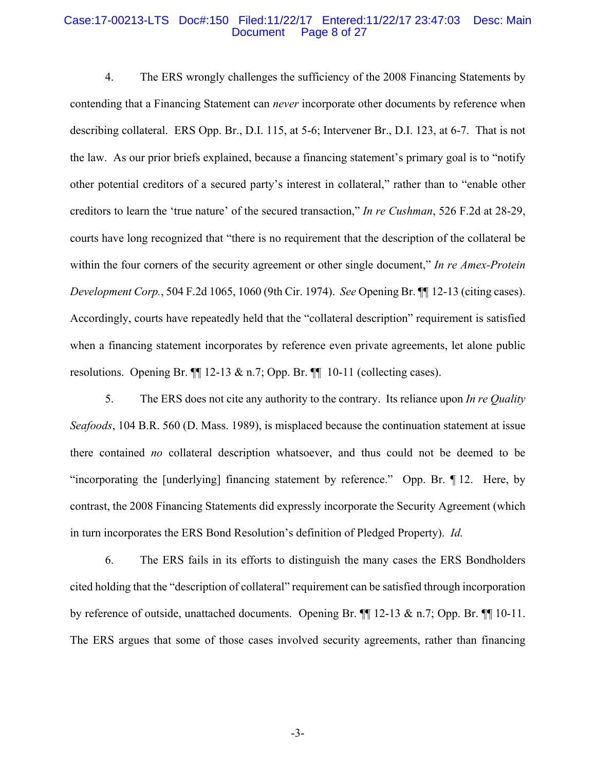#### Case:17-00213-LTS Doc#:150 Filed:11/22/17 Entered:11/22/17 23:47:03 Desc: Main Page 8 of 27

4. The ERS wrongly challenges the sufficiency of the 2008 Financing Statements by contending that a Financing Statement can *never* incorporate other documents by reference when describing collateral. ERS Opp. Br., D.I. 115, at 5-6; Intervener Br., D.I. 123, at 6-7. That is not the law. As our prior briefs explained, because a financing statement's primary goal is to "notify other potential creditors of a secured party's interest in collateral," rather than to "enable other creditors to learn the 'true nature' of the secured transaction," *In re Cushman*, 526 F.2d at 28-29, courts have long recognized that "there is no requirement that the description of the collateral be within the four corners of the security agreement or other single document," *In re Amex-Protein Development Corp.*, 504 F.2d 1065, 1060 (9th Cir. 1974). *See* Opening Br. ¶¶ 12-13 (citing cases). Accordingly, courts have repeatedly held that the "collateral description" requirement is satisfied when a financing statement incorporates by reference even private agreements, let alone public resolutions. Opening Br.  $\P$  12-13 & n.7; Opp. Br.  $\P$  10-11 (collecting cases).

5. The ERS does not cite any authority to the contrary. Its reliance upon *In re Quality Seafoods*, 104 B.R. 560 (D. Mass. 1989), is misplaced because the continuation statement at issue there contained *no* collateral description whatsoever, and thus could not be deemed to be "incorporating the [underlying] financing statement by reference." Opp. Br. ¶ 12. Here, by contrast, the 2008 Financing Statements did expressly incorporate the Security Agreement (which in turn incorporates the ERS Bond Resolution's definition of Pledged Property). *Id.*

6. The ERS fails in its efforts to distinguish the many cases the ERS Bondholders cited holding that the "description of collateral" requirement can be satisfied through incorporation by reference of outside, unattached documents. Opening Br. ¶¶ 12-13 & n.7; Opp. Br. ¶¶ 10-11. The ERS argues that some of those cases involved security agreements, rather than financing

-3-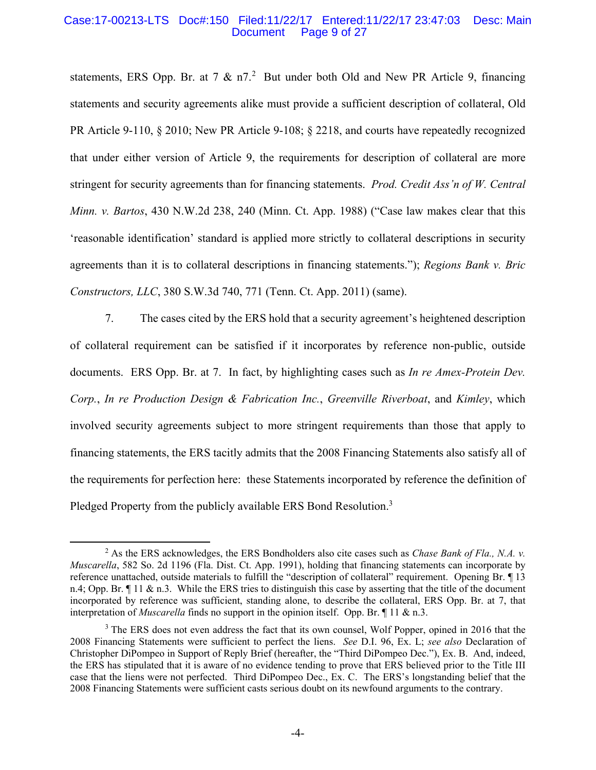#### Case:17-00213-LTS Doc#:150 Filed:11/22/17 Entered:11/22/17 23:47:03 Desc: Main Page 9 of 27

statements, ERS Opp. Br. at 7  $\&$  n7.<sup>2</sup> But under both Old and New PR Article 9, financing statements and security agreements alike must provide a sufficient description of collateral, Old PR Article 9-110, § 2010; New PR Article 9-108; § 2218, and courts have repeatedly recognized that under either version of Article 9, the requirements for description of collateral are more stringent for security agreements than for financing statements. *Prod. Credit Ass'n of W. Central Minn. v. Bartos*, 430 N.W.2d 238, 240 (Minn. Ct. App. 1988) ("Case law makes clear that this 'reasonable identification' standard is applied more strictly to collateral descriptions in security agreements than it is to collateral descriptions in financing statements."); *Regions Bank v. Bric Constructors, LLC*, 380 S.W.3d 740, 771 (Tenn. Ct. App. 2011) (same).

7. The cases cited by the ERS hold that a security agreement's heightened description of collateral requirement can be satisfied if it incorporates by reference non-public, outside documents. ERS Opp. Br. at 7. In fact, by highlighting cases such as *In re Amex-Protein Dev. Corp.*, *In re Production Design & Fabrication Inc.*, *Greenville Riverboat*, and *Kimley*, which involved security agreements subject to more stringent requirements than those that apply to financing statements, the ERS tacitly admits that the 2008 Financing Statements also satisfy all of the requirements for perfection here: these Statements incorporated by reference the definition of Pledged Property from the publicly available ERS Bond Resolution.<sup>3</sup>

 $\overline{\phantom{a}}$  As the ERS acknowledges, the ERS Bondholders also cite cases such as *Chase Bank of Fla., N.A. v. Muscarella*, 582 So. 2d 1196 (Fla. Dist. Ct. App. 1991), holding that financing statements can incorporate by reference unattached, outside materials to fulfill the "description of collateral" requirement. Opening Br. ¶ 13 n.4; Opp. Br. ¶ 11 & n.3. While the ERS tries to distinguish this case by asserting that the title of the document incorporated by reference was sufficient, standing alone, to describe the collateral, ERS Opp. Br. at 7, that interpretation of *Muscarella* finds no support in the opinion itself. Opp. Br. ¶ 11 & n.3.

<sup>&</sup>lt;sup>3</sup> The ERS does not even address the fact that its own counsel, Wolf Popper, opined in 2016 that the 2008 Financing Statements were sufficient to perfect the liens. *See* D.I. 96, Ex. L; *see also* Declaration of Christopher DiPompeo in Support of Reply Brief (hereafter, the "Third DiPompeo Dec."), Ex. B. And, indeed, the ERS has stipulated that it is aware of no evidence tending to prove that ERS believed prior to the Title III case that the liens were not perfected. Third DiPompeo Dec., Ex. C. The ERS's longstanding belief that the 2008 Financing Statements were sufficient casts serious doubt on its newfound arguments to the contrary.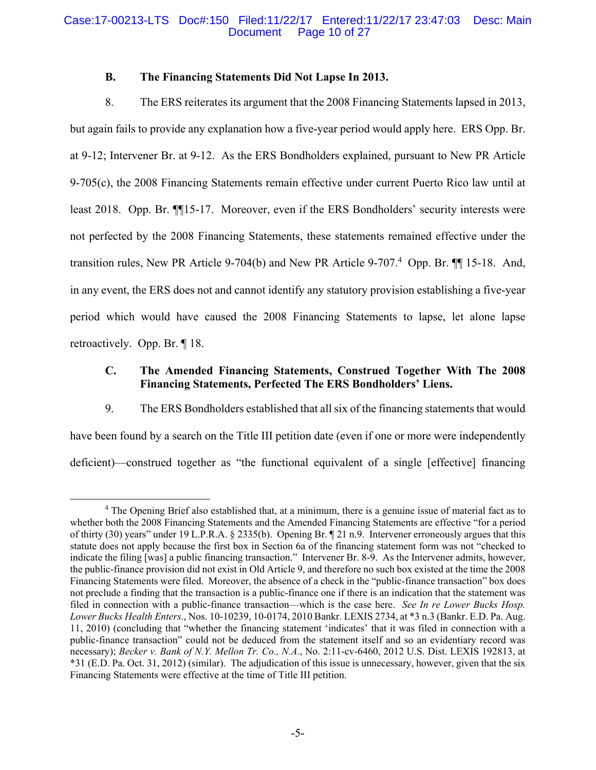### Case:17-00213-LTS Doc#:150 Filed:11/22/17 Entered:11/22/17 23:47:03 Desc: Main Page 10 of 27

# **B. The Financing Statements Did Not Lapse In 2013.**

8. The ERS reiterates its argument that the 2008 Financing Statements lapsed in 2013, but again fails to provide any explanation how a five-year period would apply here. ERS Opp. Br. at 9-12; Intervener Br. at 9-12. As the ERS Bondholders explained, pursuant to New PR Article 9-705(c), the 2008 Financing Statements remain effective under current Puerto Rico law until at least 2018. Opp. Br. ¶¶15-17. Moreover, even if the ERS Bondholders' security interests were not perfected by the 2008 Financing Statements, these statements remained effective under the transition rules, New PR Article 9-704(b) and New PR Article 9-707.<sup>4</sup> Opp. Br.  $\P$  15-18. And, in any event, the ERS does not and cannot identify any statutory provision establishing a five-year period which would have caused the 2008 Financing Statements to lapse, let alone lapse retroactively. Opp. Br. ¶ 18.

# **C. The Amended Financing Statements, Construed Together With The 2008 Financing Statements, Perfected The ERS Bondholders' Liens.**

9. The ERS Bondholders established that all six of the financing statements that would have been found by a search on the Title III petition date (even if one or more were independently deficient)—construed together as "the functional equivalent of a single [effective] financing

 $\overline{4}$ <sup>4</sup> The Opening Brief also established that, at a minimum, there is a genuine issue of material fact as to whether both the 2008 Financing Statements and the Amended Financing Statements are effective "for a period of thirty (30) years" under 19 L.P.R.A. § 2335(b). Opening Br. ¶ 21 n.9. Intervener erroneously argues that this statute does not apply because the first box in Section 6a of the financing statement form was not "checked to indicate the filing [was] a public financing transaction." Intervener Br. 8-9. As the Intervener admits, however, the public-finance provision did not exist in Old Article 9, and therefore no such box existed at the time the 2008 Financing Statements were filed. Moreover, the absence of a check in the "public-finance transaction" box does not preclude a finding that the transaction is a public-finance one if there is an indication that the statement was filed in connection with a public-finance transaction—which is the case here. *See In re Lower Bucks Hosp. Lower Bucks Health Enters.*, Nos. 10-10239, 10-0174, 2010 Bankr. LEXIS 2734, at \*3 n.3 (Bankr. E.D. Pa. Aug. 11, 2010) (concluding that "whether the financing statement 'indicates' that it was filed in connection with a public-finance transaction" could not be deduced from the statement itself and so an evidentiary record was necessary); *Becker v. Bank of N.Y. Mellon Tr. Co., N.A.*, No. 2:11-cv-6460, 2012 U.S. Dist. LEXIS 192813, at \*31 (E.D. Pa. Oct. 31, 2012) (similar). The adjudication of this issue is unnecessary, however, given that the six Financing Statements were effective at the time of Title III petition.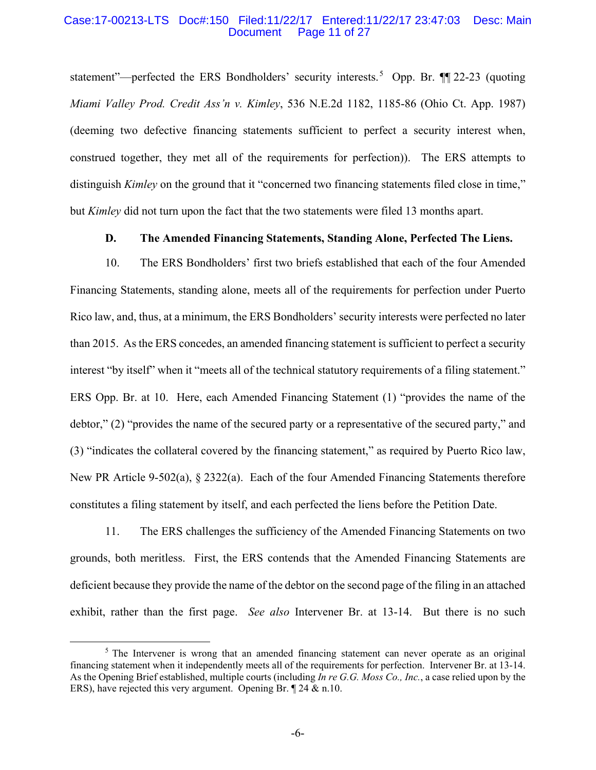#### Case:17-00213-LTS Doc#:150 Filed:11/22/17 Entered:11/22/17 23:47:03 Desc: Main Page 11 of 27

statement"—perfected the ERS Bondholders' security interests.<sup>5</sup> Opp. Br.  $\P$   $\sim$  22-23 (quoting *Miami Valley Prod. Credit Ass'n v. Kimley*, 536 N.E.2d 1182, 1185-86 (Ohio Ct. App. 1987) (deeming two defective financing statements sufficient to perfect a security interest when, construed together, they met all of the requirements for perfection)). The ERS attempts to distinguish *Kimley* on the ground that it "concerned two financing statements filed close in time," but *Kimley* did not turn upon the fact that the two statements were filed 13 months apart.

# **D. The Amended Financing Statements, Standing Alone, Perfected The Liens.**

10. The ERS Bondholders' first two briefs established that each of the four Amended Financing Statements, standing alone, meets all of the requirements for perfection under Puerto Rico law, and, thus, at a minimum, the ERS Bondholders' security interests were perfected no later than 2015. As the ERS concedes, an amended financing statement is sufficient to perfect a security interest "by itself" when it "meets all of the technical statutory requirements of a filing statement." ERS Opp. Br. at 10. Here, each Amended Financing Statement (1) "provides the name of the debtor," (2) "provides the name of the secured party or a representative of the secured party," and (3) "indicates the collateral covered by the financing statement," as required by Puerto Rico law, New PR Article 9-502(a), § 2322(a). Each of the four Amended Financing Statements therefore constitutes a filing statement by itself, and each perfected the liens before the Petition Date.

11. The ERS challenges the sufficiency of the Amended Financing Statements on two grounds, both meritless. First, the ERS contends that the Amended Financing Statements are deficient because they provide the name of the debtor on the second page of the filing in an attached exhibit, rather than the first page. *See also* Intervener Br. at 13-14. But there is no such

<sup>&</sup>lt;sup>5</sup> The Intervener is wrong that an amended financing statement can never operate as an original financing statement when it independently meets all of the requirements for perfection. Intervener Br. at 13-14. As the Opening Brief established, multiple courts (including *In re G.G. Moss Co., Inc.*, a case relied upon by the ERS), have rejected this very argument. Opening Br. ¶ 24 & n.10.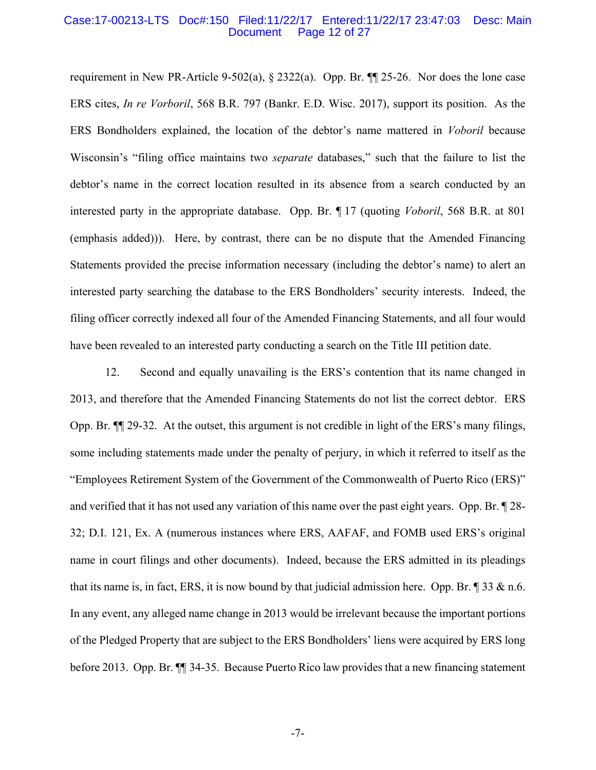#### Case:17-00213-LTS Doc#:150 Filed:11/22/17 Entered:11/22/17 23:47:03 Desc: Main Page 12 of 27

requirement in New PR-Article 9-502(a),  $\S 2322(a)$ . Opp. Br.  $\P$  25-26. Nor does the lone case ERS cites, *In re Vorboril*, 568 B.R. 797 (Bankr. E.D. Wisc. 2017), support its position. As the ERS Bondholders explained, the location of the debtor's name mattered in *Voboril* because Wisconsin's "filing office maintains two *separate* databases," such that the failure to list the debtor's name in the correct location resulted in its absence from a search conducted by an interested party in the appropriate database. Opp. Br. ¶ 17 (quoting *Voboril*, 568 B.R. at 801 (emphasis added))). Here, by contrast, there can be no dispute that the Amended Financing Statements provided the precise information necessary (including the debtor's name) to alert an interested party searching the database to the ERS Bondholders' security interests. Indeed, the filing officer correctly indexed all four of the Amended Financing Statements, and all four would have been revealed to an interested party conducting a search on the Title III petition date.

12. Second and equally unavailing is the ERS's contention that its name changed in 2013, and therefore that the Amended Financing Statements do not list the correct debtor. ERS Opp. Br. ¶¶ 29-32. At the outset, this argument is not credible in light of the ERS's many filings, some including statements made under the penalty of perjury, in which it referred to itself as the "Employees Retirement System of the Government of the Commonwealth of Puerto Rico (ERS)" and verified that it has not used any variation of this name over the past eight years. Opp. Br. ¶ 28- 32; D.I. 121, Ex. A (numerous instances where ERS, AAFAF, and FOMB used ERS's original name in court filings and other documents). Indeed, because the ERS admitted in its pleadings that its name is, in fact, ERS, it is now bound by that judicial admission here. Opp. Br.  $\parallel$  33 & n.6. In any event, any alleged name change in 2013 would be irrelevant because the important portions of the Pledged Property that are subject to the ERS Bondholders' liens were acquired by ERS long before 2013. Opp. Br. ¶¶ 34-35. Because Puerto Rico law provides that a new financing statement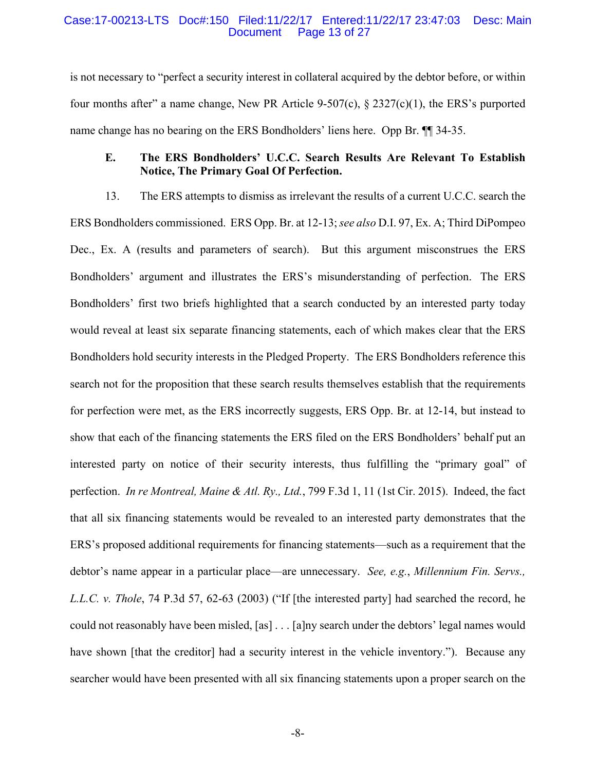#### Case:17-00213-LTS Doc#:150 Filed:11/22/17 Entered:11/22/17 23:47:03 Desc: Main Page 13 of 27

is not necessary to "perfect a security interest in collateral acquired by the debtor before, or within four months after" a name change, New PR Article 9-507(c),  $\S 2327(c)(1)$ , the ERS's purported name change has no bearing on the ERS Bondholders' liens here. Opp Br. ¶¶ 34-35.

# **E. The ERS Bondholders' U.C.C. Search Results Are Relevant To Establish Notice, The Primary Goal Of Perfection.**

13. The ERS attempts to dismiss as irrelevant the results of a current U.C.C. search the ERS Bondholders commissioned. ERS Opp. Br. at 12-13; *see also* D.I. 97, Ex. A; Third DiPompeo Dec., Ex. A (results and parameters of search). But this argument misconstrues the ERS Bondholders' argument and illustrates the ERS's misunderstanding of perfection. The ERS Bondholders' first two briefs highlighted that a search conducted by an interested party today would reveal at least six separate financing statements, each of which makes clear that the ERS Bondholders hold security interests in the Pledged Property. The ERS Bondholders reference this search not for the proposition that these search results themselves establish that the requirements for perfection were met, as the ERS incorrectly suggests, ERS Opp. Br. at 12-14, but instead to show that each of the financing statements the ERS filed on the ERS Bondholders' behalf put an interested party on notice of their security interests, thus fulfilling the "primary goal" of perfection. *In re Montreal, Maine & Atl. Ry., Ltd.*, 799 F.3d 1, 11 (1st Cir. 2015). Indeed, the fact that all six financing statements would be revealed to an interested party demonstrates that the ERS's proposed additional requirements for financing statements—such as a requirement that the debtor's name appear in a particular place—are unnecessary. *See, e.g.*, *Millennium Fin. Servs., L.L.C. v. Thole*, 74 P.3d 57, 62-63 (2003) ("If [the interested party] had searched the record, he could not reasonably have been misled, [as] . . . [a]ny search under the debtors' legal names would have shown [that the creditor] had a security interest in the vehicle inventory."). Because any searcher would have been presented with all six financing statements upon a proper search on the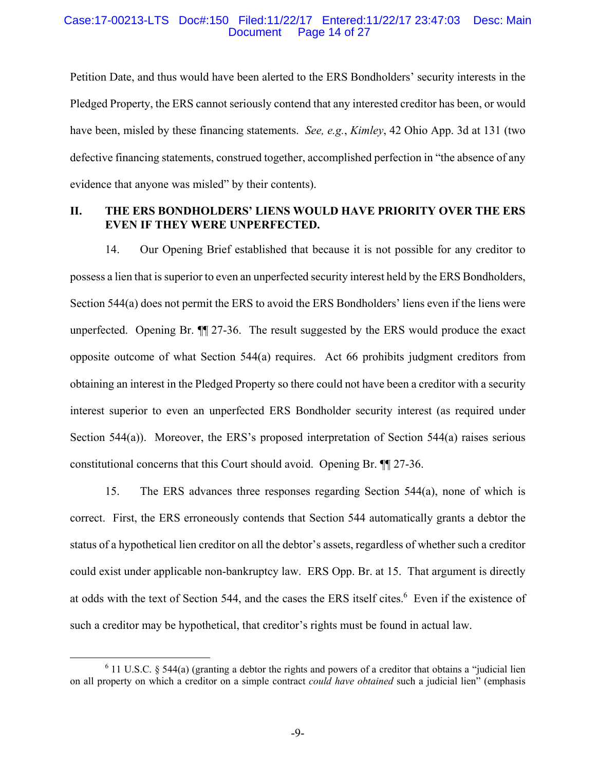#### Case:17-00213-LTS Doc#:150 Filed:11/22/17 Entered:11/22/17 23:47:03 Desc: Main Page 14 of 27

Petition Date, and thus would have been alerted to the ERS Bondholders' security interests in the Pledged Property, the ERS cannot seriously contend that any interested creditor has been, or would have been, misled by these financing statements. *See, e.g.*, *Kimley*, 42 Ohio App. 3d at 131 (two defective financing statements, construed together, accomplished perfection in "the absence of any evidence that anyone was misled" by their contents).

# **II. THE ERS BONDHOLDERS' LIENS WOULD HAVE PRIORITY OVER THE ERS EVEN IF THEY WERE UNPERFECTED.**

14. Our Opening Brief established that because it is not possible for any creditor to possess a lien that is superior to even an unperfected security interest held by the ERS Bondholders, Section 544(a) does not permit the ERS to avoid the ERS Bondholders' liens even if the liens were unperfected. Opening Br. ¶¶ 27-36. The result suggested by the ERS would produce the exact opposite outcome of what Section 544(a) requires. Act 66 prohibits judgment creditors from obtaining an interest in the Pledged Property so there could not have been a creditor with a security interest superior to even an unperfected ERS Bondholder security interest (as required under Section 544(a)). Moreover, the ERS's proposed interpretation of Section 544(a) raises serious constitutional concerns that this Court should avoid. Opening Br. ¶¶ 27-36.

15. The ERS advances three responses regarding Section 544(a), none of which is correct. First, the ERS erroneously contends that Section 544 automatically grants a debtor the status of a hypothetical lien creditor on all the debtor's assets, regardless of whether such a creditor could exist under applicable non-bankruptcy law. ERS Opp. Br. at 15. That argument is directly at odds with the text of Section 544, and the cases the ERS itself cites.<sup>6</sup> Even if the existence of such a creditor may be hypothetical, that creditor's rights must be found in actual law.

 <sup>6</sup>  $6$  11 U.S.C. § 544(a) (granting a debtor the rights and powers of a creditor that obtains a "judicial lien on all property on which a creditor on a simple contract *could have obtained* such a judicial lien" (emphasis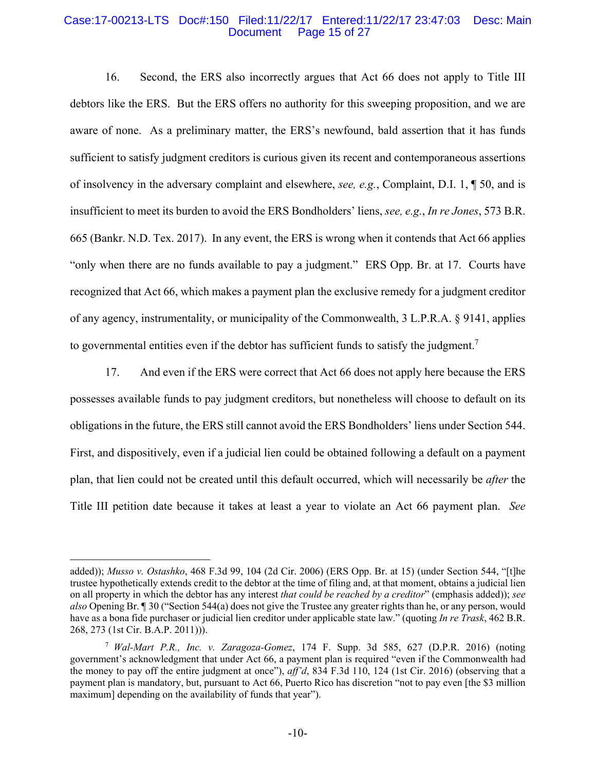#### Case:17-00213-LTS Doc#:150 Filed:11/22/17 Entered:11/22/17 23:47:03 Desc: Main Page 15 of 27

16. Second, the ERS also incorrectly argues that Act 66 does not apply to Title III debtors like the ERS. But the ERS offers no authority for this sweeping proposition, and we are aware of none. As a preliminary matter, the ERS's newfound, bald assertion that it has funds sufficient to satisfy judgment creditors is curious given its recent and contemporaneous assertions of insolvency in the adversary complaint and elsewhere, *see, e.g.*, Complaint, D.I. 1, ¶ 50, and is insufficient to meet its burden to avoid the ERS Bondholders' liens, *see, e.g.*, *In re Jones*, 573 B.R. 665 (Bankr. N.D. Tex. 2017). In any event, the ERS is wrong when it contends that Act 66 applies "only when there are no funds available to pay a judgment." ERS Opp. Br. at 17. Courts have recognized that Act 66, which makes a payment plan the exclusive remedy for a judgment creditor of any agency, instrumentality, or municipality of the Commonwealth, 3 L.P.R.A. § 9141, applies to governmental entities even if the debtor has sufficient funds to satisfy the judgment.<sup>7</sup>

17. And even if the ERS were correct that Act 66 does not apply here because the ERS possesses available funds to pay judgment creditors, but nonetheless will choose to default on its obligations in the future, the ERS still cannot avoid the ERS Bondholders' liens under Section 544. First, and dispositively, even if a judicial lien could be obtained following a default on a payment plan, that lien could not be created until this default occurred, which will necessarily be *after* the Title III petition date because it takes at least a year to violate an Act 66 payment plan. *See* 

1

added)); *Musso v. Ostashko*, 468 F.3d 99, 104 (2d Cir. 2006) (ERS Opp. Br. at 15) (under Section 544, "[t]he trustee hypothetically extends credit to the debtor at the time of filing and, at that moment, obtains a judicial lien on all property in which the debtor has any interest *that could be reached by a creditor*" (emphasis added)); *see also* Opening Br. ¶ 30 ("Section 544(a) does not give the Trustee any greater rights than he, or any person, would have as a bona fide purchaser or judicial lien creditor under applicable state law." (quoting *In re Trask*, 462 B.R. 268, 273 (1st Cir. B.A.P. 2011))).

<sup>7</sup> *Wal-Mart P.R., Inc. v. Zaragoza-Gomez*, 174 F. Supp. 3d 585, 627 (D.P.R. 2016) (noting government's acknowledgment that under Act 66, a payment plan is required "even if the Commonwealth had the money to pay off the entire judgment at once"), *aff'd*, 834 F.3d 110, 124 (1st Cir. 2016) (observing that a payment plan is mandatory, but, pursuant to Act 66, Puerto Rico has discretion "not to pay even [the \$3 million maximum] depending on the availability of funds that year").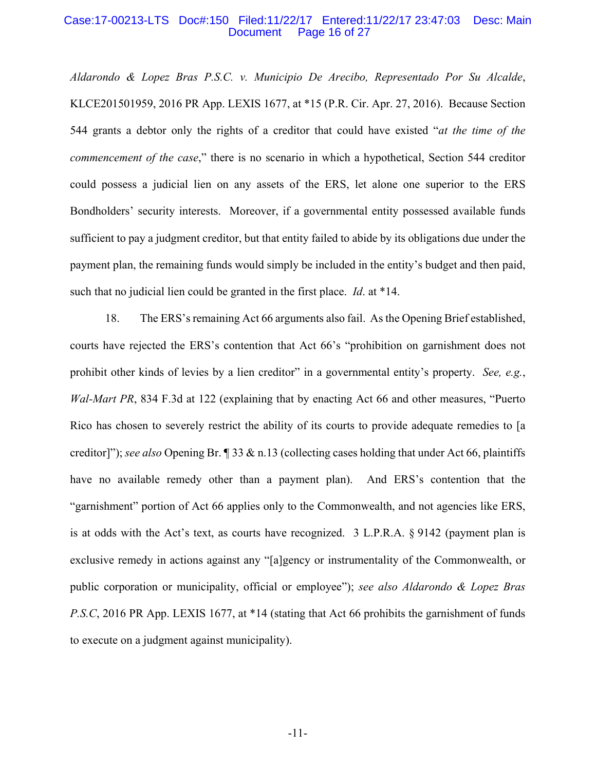#### Case:17-00213-LTS Doc#:150 Filed:11/22/17 Entered:11/22/17 23:47:03 Desc: Main Document Page 16 of 27

*Aldarondo & Lopez Bras P.S.C. v. Municipio De Arecibo, Representado Por Su Alcalde*, KLCE201501959, 2016 PR App. LEXIS 1677, at \*15 (P.R. Cir. Apr. 27, 2016). Because Section 544 grants a debtor only the rights of a creditor that could have existed "*at the time of the commencement of the case*," there is no scenario in which a hypothetical, Section 544 creditor could possess a judicial lien on any assets of the ERS, let alone one superior to the ERS Bondholders' security interests. Moreover, if a governmental entity possessed available funds sufficient to pay a judgment creditor, but that entity failed to abide by its obligations due under the payment plan, the remaining funds would simply be included in the entity's budget and then paid, such that no judicial lien could be granted in the first place. *Id*. at \*14.

18. The ERS's remaining Act 66 arguments also fail. As the Opening Brief established, courts have rejected the ERS's contention that Act 66's "prohibition on garnishment does not prohibit other kinds of levies by a lien creditor" in a governmental entity's property. *See, e.g.*, *Wal-Mart PR*, 834 F.3d at 122 (explaining that by enacting Act 66 and other measures, "Puerto Rico has chosen to severely restrict the ability of its courts to provide adequate remedies to [a creditor]"); *see also* Opening Br. ¶ 33 & n.13 (collecting cases holding that under Act 66, plaintiffs have no available remedy other than a payment plan). And ERS's contention that the "garnishment" portion of Act 66 applies only to the Commonwealth, and not agencies like ERS, is at odds with the Act's text, as courts have recognized. 3 L.P.R.A. § 9142 (payment plan is exclusive remedy in actions against any "[a]gency or instrumentality of the Commonwealth, or public corporation or municipality, official or employee"); *see also Aldarondo & Lopez Bras P.S.C*, 2016 PR App. LEXIS 1677, at \*14 (stating that Act 66 prohibits the garnishment of funds to execute on a judgment against municipality).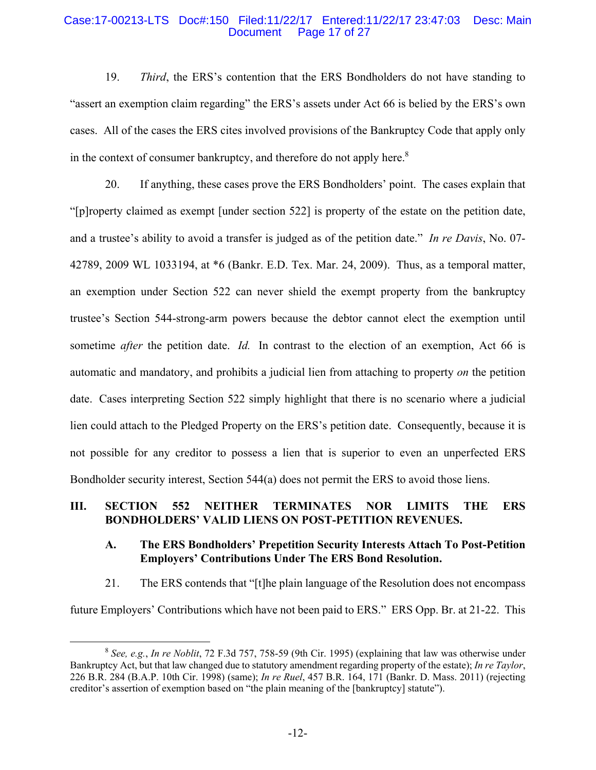#### Case:17-00213-LTS Doc#:150 Filed:11/22/17 Entered:11/22/17 23:47:03 Desc: Main Page 17 of 27

19. *Third*, the ERS's contention that the ERS Bondholders do not have standing to "assert an exemption claim regarding" the ERS's assets under Act 66 is belied by the ERS's own cases. All of the cases the ERS cites involved provisions of the Bankruptcy Code that apply only in the context of consumer bankruptcy, and therefore do not apply here. $8$ 

20. If anything, these cases prove the ERS Bondholders' point. The cases explain that "[p]roperty claimed as exempt [under section 522] is property of the estate on the petition date, and a trustee's ability to avoid a transfer is judged as of the petition date." *In re Davis*, No. 07- 42789, 2009 WL 1033194, at \*6 (Bankr. E.D. Tex. Mar. 24, 2009). Thus, as a temporal matter, an exemption under Section 522 can never shield the exempt property from the bankruptcy trustee's Section 544-strong-arm powers because the debtor cannot elect the exemption until sometime *after* the petition date. *Id.* In contrast to the election of an exemption, Act 66 is automatic and mandatory, and prohibits a judicial lien from attaching to property *on* the petition date. Cases interpreting Section 522 simply highlight that there is no scenario where a judicial lien could attach to the Pledged Property on the ERS's petition date. Consequently, because it is not possible for any creditor to possess a lien that is superior to even an unperfected ERS Bondholder security interest, Section 544(a) does not permit the ERS to avoid those liens.

# **III. SECTION 552 NEITHER TERMINATES NOR LIMITS THE ERS BONDHOLDERS' VALID LIENS ON POST-PETITION REVENUES.**

# **A. The ERS Bondholders' Prepetition Security Interests Attach To Post-Petition Employers' Contributions Under The ERS Bond Resolution.**

21. The ERS contends that "[t]he plain language of the Resolution does not encompass future Employers' Contributions which have not been paid to ERS." ERS Opp. Br. at 21-22. This

 <sup>8</sup> *See, e.g.*, *In re Noblit*, 72 F.3d 757, 758-59 (9th Cir. 1995) (explaining that law was otherwise under Bankruptcy Act, but that law changed due to statutory amendment regarding property of the estate); *In re Taylor*, 226 B.R. 284 (B.A.P. 10th Cir. 1998) (same); *In re Ruel*, 457 B.R. 164, 171 (Bankr. D. Mass. 2011) (rejecting creditor's assertion of exemption based on "the plain meaning of the [bankruptcy] statute").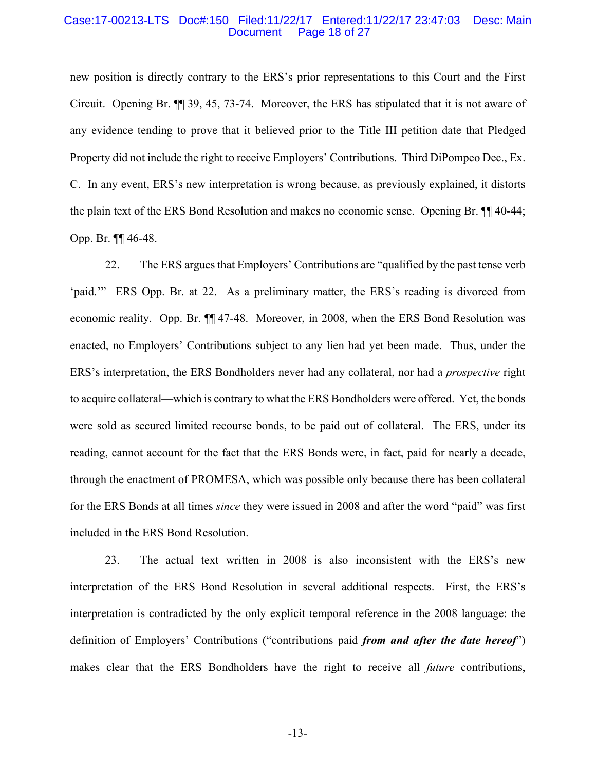#### Case:17-00213-LTS Doc#:150 Filed:11/22/17 Entered:11/22/17 23:47:03 Desc: Main Document Page 18 of 27

new position is directly contrary to the ERS's prior representations to this Court and the First Circuit. Opening Br. ¶¶ 39, 45, 73-74. Moreover, the ERS has stipulated that it is not aware of any evidence tending to prove that it believed prior to the Title III petition date that Pledged Property did not include the right to receive Employers' Contributions. Third DiPompeo Dec., Ex. C. In any event, ERS's new interpretation is wrong because, as previously explained, it distorts the plain text of the ERS Bond Resolution and makes no economic sense. Opening Br. ¶¶ 40-44; Opp. Br. ¶¶ 46-48.

22. The ERS argues that Employers' Contributions are "qualified by the past tense verb 'paid.'" ERS Opp. Br. at 22. As a preliminary matter, the ERS's reading is divorced from economic reality. Opp. Br. ¶¶ 47-48. Moreover, in 2008, when the ERS Bond Resolution was enacted, no Employers' Contributions subject to any lien had yet been made. Thus, under the ERS's interpretation, the ERS Bondholders never had any collateral, nor had a *prospective* right to acquire collateral—which is contrary to what the ERS Bondholders were offered. Yet, the bonds were sold as secured limited recourse bonds, to be paid out of collateral. The ERS, under its reading, cannot account for the fact that the ERS Bonds were, in fact, paid for nearly a decade, through the enactment of PROMESA, which was possible only because there has been collateral for the ERS Bonds at all times *since* they were issued in 2008 and after the word "paid" was first included in the ERS Bond Resolution.

23. The actual text written in 2008 is also inconsistent with the ERS's new interpretation of the ERS Bond Resolution in several additional respects. First, the ERS's interpretation is contradicted by the only explicit temporal reference in the 2008 language: the definition of Employers' Contributions ("contributions paid *from and after the date hereof*") makes clear that the ERS Bondholders have the right to receive all *future* contributions,

-13-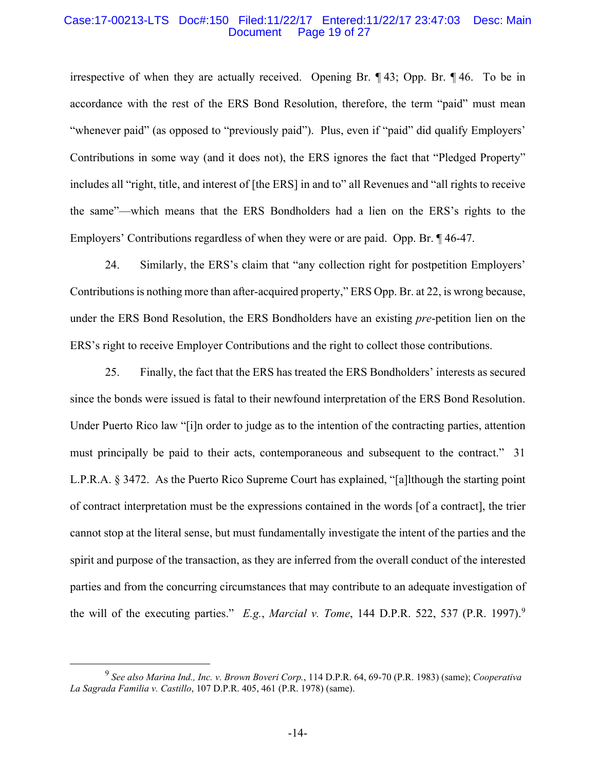#### Case:17-00213-LTS Doc#:150 Filed:11/22/17 Entered:11/22/17 23:47:03 Desc: Main Page 19 of 27

irrespective of when they are actually received. Opening Br. ¶ 43; Opp. Br. ¶ 46. To be in accordance with the rest of the ERS Bond Resolution, therefore, the term "paid" must mean "whenever paid" (as opposed to "previously paid"). Plus, even if "paid" did qualify Employers' Contributions in some way (and it does not), the ERS ignores the fact that "Pledged Property" includes all "right, title, and interest of [the ERS] in and to" all Revenues and "all rights to receive the same"—which means that the ERS Bondholders had a lien on the ERS's rights to the Employers' Contributions regardless of when they were or are paid. Opp. Br. ¶ 46-47.

24. Similarly, the ERS's claim that "any collection right for postpetition Employers' Contributions is nothing more than after-acquired property," ERS Opp. Br. at 22, is wrong because, under the ERS Bond Resolution, the ERS Bondholders have an existing *pre*-petition lien on the ERS's right to receive Employer Contributions and the right to collect those contributions.

25. Finally, the fact that the ERS has treated the ERS Bondholders' interests as secured since the bonds were issued is fatal to their newfound interpretation of the ERS Bond Resolution. Under Puerto Rico law "[i]n order to judge as to the intention of the contracting parties, attention must principally be paid to their acts, contemporaneous and subsequent to the contract." 31 L.P.R.A. § 3472. As the Puerto Rico Supreme Court has explained, "[a]lthough the starting point of contract interpretation must be the expressions contained in the words [of a contract], the trier cannot stop at the literal sense, but must fundamentally investigate the intent of the parties and the spirit and purpose of the transaction, as they are inferred from the overall conduct of the interested parties and from the concurring circumstances that may contribute to an adequate investigation of the will of the executing parties." *E.g.*, *Marcial v. Tome*, 144 D.P.R. 522, 537 (P.R. 1997).<sup>9</sup>

 <sup>9</sup> *See also Marina Ind., Inc. v. Brown Boveri Corp.*, 114 D.P.R. 64, 69-70 (P.R. 1983) (same); *Cooperativa La Sagrada Familia v. Castillo*, 107 D.P.R. 405, 461 (P.R. 1978) (same).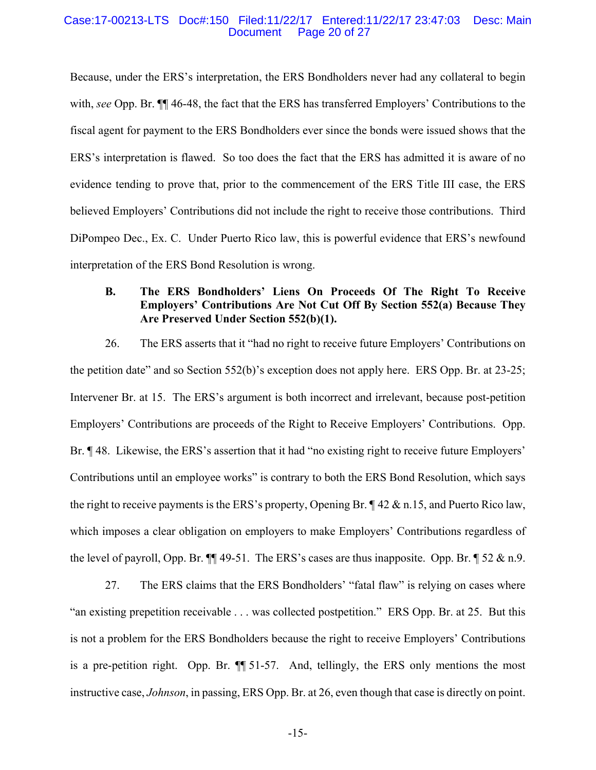#### Case:17-00213-LTS Doc#:150 Filed:11/22/17 Entered:11/22/17 23:47:03 Desc: Main Page 20 of 27

Because, under the ERS's interpretation, the ERS Bondholders never had any collateral to begin with, *see* Opp. Br. ¶¶ 46-48, the fact that the ERS has transferred Employers' Contributions to the fiscal agent for payment to the ERS Bondholders ever since the bonds were issued shows that the ERS's interpretation is flawed. So too does the fact that the ERS has admitted it is aware of no evidence tending to prove that, prior to the commencement of the ERS Title III case, the ERS believed Employers' Contributions did not include the right to receive those contributions. Third DiPompeo Dec., Ex. C. Under Puerto Rico law, this is powerful evidence that ERS's newfound interpretation of the ERS Bond Resolution is wrong.

# **B. The ERS Bondholders' Liens On Proceeds Of The Right To Receive Employers' Contributions Are Not Cut Off By Section 552(a) Because They Are Preserved Under Section 552(b)(1).**

26. The ERS asserts that it "had no right to receive future Employers' Contributions on the petition date" and so Section 552(b)'s exception does not apply here. ERS Opp. Br. at 23-25; Intervener Br. at 15. The ERS's argument is both incorrect and irrelevant, because post-petition Employers' Contributions are proceeds of the Right to Receive Employers' Contributions. Opp. Br. ¶ 48. Likewise, the ERS's assertion that it had "no existing right to receive future Employers' Contributions until an employee works" is contrary to both the ERS Bond Resolution, which says the right to receive payments is the ERS's property, Opening Br. ¶ 42 & n.15, and Puerto Rico law, which imposes a clear obligation on employers to make Employers' Contributions regardless of the level of payroll, Opp. Br.  $\P$  49-51. The ERS's cases are thus inapposite. Opp. Br.  $\P$  52 & n.9.

27. The ERS claims that the ERS Bondholders' "fatal flaw" is relying on cases where "an existing prepetition receivable . . . was collected postpetition." ERS Opp. Br. at 25. But this is not a problem for the ERS Bondholders because the right to receive Employers' Contributions is a pre-petition right. Opp. Br. ¶¶ 51-57. And, tellingly, the ERS only mentions the most instructive case, *Johnson*, in passing, ERS Opp. Br. at 26, even though that case is directly on point.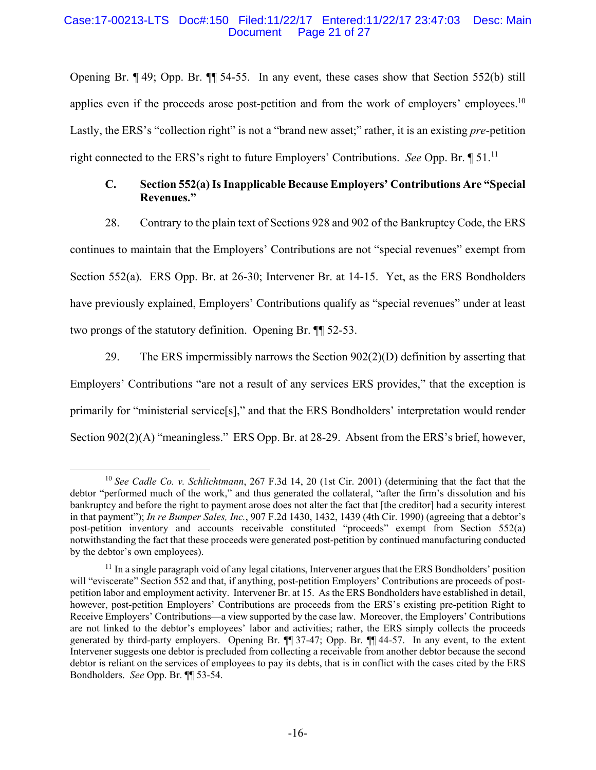#### Case:17-00213-LTS Doc#:150 Filed:11/22/17 Entered:11/22/17 23:47:03 Desc: Main Page 21 of 27

Opening Br. ¶ 49; Opp. Br. ¶¶ 54-55. In any event, these cases show that Section 552(b) still applies even if the proceeds arose post-petition and from the work of employers' employees.<sup>10</sup> Lastly, the ERS's "collection right" is not a "brand new asset;" rather, it is an existing *pre*-petition right connected to the ERS's right to future Employers' Contributions. *See* Opp. Br. ¶ 51.11

# **C. Section 552(a) Is Inapplicable Because Employers' Contributions Are "Special Revenues."**

28. Contrary to the plain text of Sections 928 and 902 of the Bankruptcy Code, the ERS continues to maintain that the Employers' Contributions are not "special revenues" exempt from Section 552(a). ERS Opp. Br. at 26-30; Intervener Br. at 14-15. Yet, as the ERS Bondholders have previously explained, Employers' Contributions qualify as "special revenues" under at least two prongs of the statutory definition. Opening Br. ¶¶ 52-53.

29. The ERS impermissibly narrows the Section  $902(2)(D)$  definition by asserting that Employers' Contributions "are not a result of any services ERS provides," that the exception is primarily for "ministerial service[s]," and that the ERS Bondholders' interpretation would render Section 902(2)(A) "meaningless." ERS Opp. Br. at 28-29. Absent from the ERS's brief, however,

 <sup>10</sup> *See Cadle Co. v. Schlichtmann*, 267 F.3d 14, 20 (1st Cir. 2001) (determining that the fact that the debtor "performed much of the work," and thus generated the collateral, "after the firm's dissolution and his bankruptcy and before the right to payment arose does not alter the fact that [the creditor] had a security interest in that payment"); *In re Bumper Sales, Inc.*, 907 F.2d 1430, 1432, 1439 (4th Cir. 1990) (agreeing that a debtor's post-petition inventory and accounts receivable constituted "proceeds" exempt from Section 552(a) notwithstanding the fact that these proceeds were generated post-petition by continued manufacturing conducted by the debtor's own employees).

 $<sup>11</sup>$  In a single paragraph void of any legal citations, Intervener argues that the ERS Bondholders' position</sup> will "eviscerate" Section 552 and that, if anything, post-petition Employers' Contributions are proceeds of postpetition labor and employment activity. Intervener Br. at 15. As the ERS Bondholders have established in detail, however, post-petition Employers' Contributions are proceeds from the ERS's existing pre-petition Right to Receive Employers' Contributions—a view supported by the case law. Moreover, the Employers' Contributions are not linked to the debtor's employees' labor and activities; rather, the ERS simply collects the proceeds generated by third-party employers. Opening Br. ¶¶ 37-47; Opp. Br. ¶¶ 44-57. In any event, to the extent Intervener suggests one debtor is precluded from collecting a receivable from another debtor because the second debtor is reliant on the services of employees to pay its debts, that is in conflict with the cases cited by the ERS Bondholders. *See* Opp. Br. ¶¶ 53-54.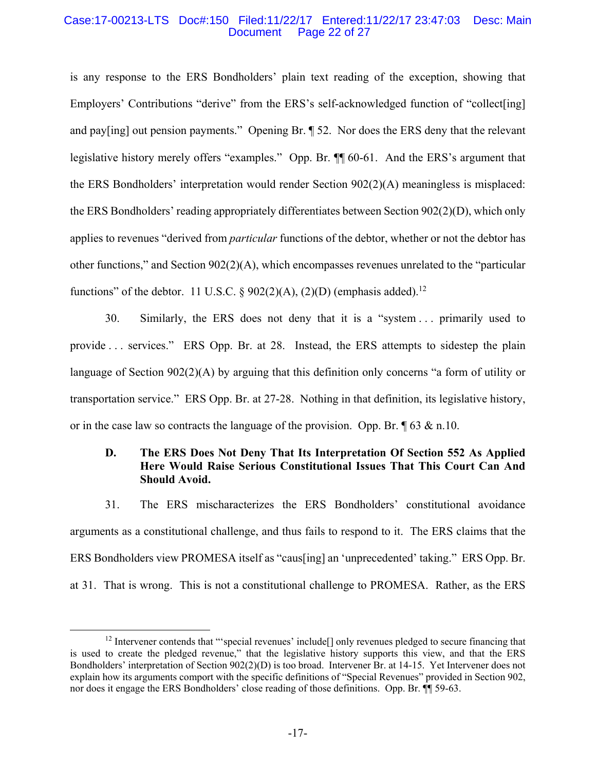#### Case:17-00213-LTS Doc#:150 Filed:11/22/17 Entered:11/22/17 23:47:03 Desc: Main Page 22 of 27

is any response to the ERS Bondholders' plain text reading of the exception, showing that Employers' Contributions "derive" from the ERS's self-acknowledged function of "collect[ing] and pay[ing] out pension payments." Opening Br. ¶ 52. Nor does the ERS deny that the relevant legislative history merely offers "examples." Opp. Br. ¶¶ 60-61. And the ERS's argument that the ERS Bondholders' interpretation would render Section 902(2)(A) meaningless is misplaced: the ERS Bondholders' reading appropriately differentiates between Section 902(2)(D), which only applies to revenues "derived from *particular* functions of the debtor, whether or not the debtor has other functions," and Section 902(2)(A), which encompasses revenues unrelated to the "particular functions" of the debtor. 11 U.S.C. § 902(2)(A), (2)(D) (emphasis added).<sup>12</sup>

30. Similarly, the ERS does not deny that it is a "system . . . primarily used to provide . . . services." ERS Opp. Br. at 28. Instead, the ERS attempts to sidestep the plain language of Section 902(2)(A) by arguing that this definition only concerns "a form of utility or transportation service." ERS Opp. Br. at 27-28. Nothing in that definition, its legislative history, or in the case law so contracts the language of the provision. Opp. Br.  $\sqrt{\phantom{a}}\,63 \& \text{n}.10$ .

# **D. The ERS Does Not Deny That Its Interpretation Of Section 552 As Applied Here Would Raise Serious Constitutional Issues That This Court Can And Should Avoid.**

31. The ERS mischaracterizes the ERS Bondholders' constitutional avoidance arguments as a constitutional challenge, and thus fails to respond to it. The ERS claims that the ERS Bondholders view PROMESA itself as "caus[ing] an 'unprecedented' taking." ERS Opp. Br. at 31. That is wrong. This is not a constitutional challenge to PROMESA. Rather, as the ERS

 $12$  Intervener contends that "'special revenues' include  $\vert$ ] only revenues pledged to secure financing that is used to create the pledged revenue," that the legislative history supports this view, and that the ERS Bondholders' interpretation of Section 902(2)(D) is too broad. Intervener Br. at 14-15. Yet Intervener does not explain how its arguments comport with the specific definitions of "Special Revenues" provided in Section 902, nor does it engage the ERS Bondholders' close reading of those definitions. Opp. Br. ¶¶ 59-63.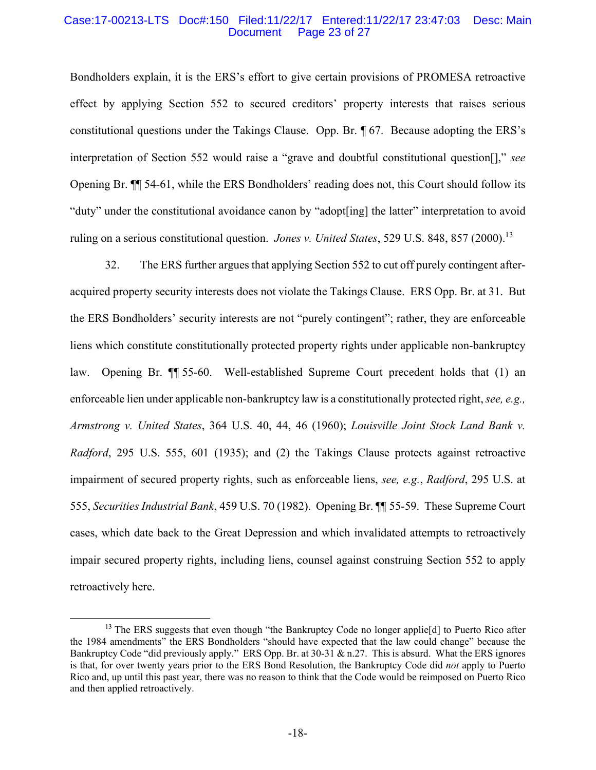#### Case:17-00213-LTS Doc#:150 Filed:11/22/17 Entered:11/22/17 23:47:03 Desc: Main Page 23 of 27

Bondholders explain, it is the ERS's effort to give certain provisions of PROMESA retroactive effect by applying Section 552 to secured creditors' property interests that raises serious constitutional questions under the Takings Clause. Opp. Br. ¶ 67. Because adopting the ERS's interpretation of Section 552 would raise a "grave and doubtful constitutional question[]," *see*  Opening Br. ¶¶ 54-61, while the ERS Bondholders' reading does not, this Court should follow its "duty" under the constitutional avoidance canon by "adopt[ing] the latter" interpretation to avoid ruling on a serious constitutional question. *Jones v. United States*, 529 U.S. 848, 857 (2000).<sup>13</sup>

32. The ERS further argues that applying Section 552 to cut off purely contingent afteracquired property security interests does not violate the Takings Clause. ERS Opp. Br. at 31. But the ERS Bondholders' security interests are not "purely contingent"; rather, they are enforceable liens which constitute constitutionally protected property rights under applicable non-bankruptcy law. Opening Br. ¶¶ 55-60. Well-established Supreme Court precedent holds that (1) an enforceable lien under applicable non-bankruptcy law is a constitutionally protected right, *see, e.g., Armstrong v. United States*, 364 U.S. 40, 44, 46 (1960); *Louisville Joint Stock Land Bank v. Radford*, 295 U.S. 555, 601 (1935); and (2) the Takings Clause protects against retroactive impairment of secured property rights, such as enforceable liens, *see, e.g.*, *Radford*, 295 U.S. at 555, *Securities Industrial Bank*, 459 U.S. 70 (1982). Opening Br. ¶¶ 55-59. These Supreme Court cases, which date back to the Great Depression and which invalidated attempts to retroactively impair secured property rights, including liens, counsel against construing Section 552 to apply retroactively here.

<sup>&</sup>lt;sup>13</sup> The ERS suggests that even though "the Bankruptcy Code no longer applie<sup>[d]</sup> to Puerto Rico after the 1984 amendments" the ERS Bondholders "should have expected that the law could change" because the Bankruptcy Code "did previously apply." ERS Opp. Br. at 30-31 & n.27. This is absurd. What the ERS ignores is that, for over twenty years prior to the ERS Bond Resolution, the Bankruptcy Code did *not* apply to Puerto Rico and, up until this past year, there was no reason to think that the Code would be reimposed on Puerto Rico and then applied retroactively.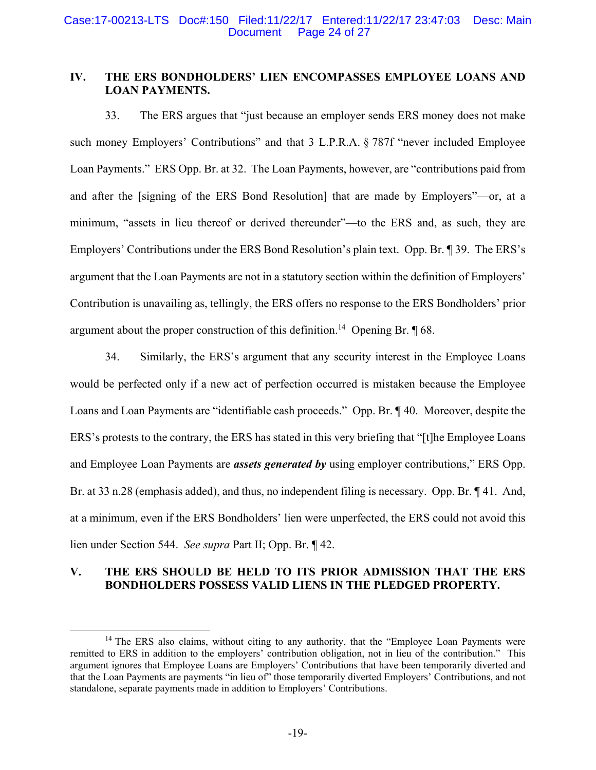#### Case:17-00213-LTS Doc#:150 Filed:11/22/17 Entered:11/22/17 23:47:03 Desc: Main Page 24 of 27

# **IV. THE ERS BONDHOLDERS' LIEN ENCOMPASSES EMPLOYEE LOANS AND LOAN PAYMENTS.**

33. The ERS argues that "just because an employer sends ERS money does not make such money Employers' Contributions" and that 3 L.P.R.A. § 787f "never included Employee Loan Payments." ERS Opp. Br. at 32. The Loan Payments, however, are "contributions paid from and after the [signing of the ERS Bond Resolution] that are made by Employers"—or, at a minimum, "assets in lieu thereof or derived thereunder"—to the ERS and, as such, they are Employers' Contributions under the ERS Bond Resolution's plain text. Opp. Br. ¶ 39. The ERS's argument that the Loan Payments are not in a statutory section within the definition of Employers' Contribution is unavailing as, tellingly, the ERS offers no response to the ERS Bondholders' prior argument about the proper construction of this definition.<sup>14</sup> Opening Br.  $\P$  68.

34. Similarly, the ERS's argument that any security interest in the Employee Loans would be perfected only if a new act of perfection occurred is mistaken because the Employee Loans and Loan Payments are "identifiable cash proceeds." Opp. Br. ¶ 40. Moreover, despite the ERS's protests to the contrary, the ERS has stated in this very briefing that "[t]he Employee Loans and Employee Loan Payments are *assets generated by* using employer contributions," ERS Opp. Br. at 33 n.28 (emphasis added), and thus, no independent filing is necessary. Opp. Br.  $\P$  41. And, at a minimum, even if the ERS Bondholders' lien were unperfected, the ERS could not avoid this lien under Section 544. *See supra* Part II; Opp. Br. ¶ 42.

# **V. THE ERS SHOULD BE HELD TO ITS PRIOR ADMISSION THAT THE ERS BONDHOLDERS POSSESS VALID LIENS IN THE PLEDGED PROPERTY.**

<sup>&</sup>lt;sup>14</sup> The ERS also claims, without citing to any authority, that the "Employee Loan Payments were remitted to ERS in addition to the employers' contribution obligation, not in lieu of the contribution." This argument ignores that Employee Loans are Employers' Contributions that have been temporarily diverted and that the Loan Payments are payments "in lieu of" those temporarily diverted Employers' Contributions, and not standalone, separate payments made in addition to Employers' Contributions.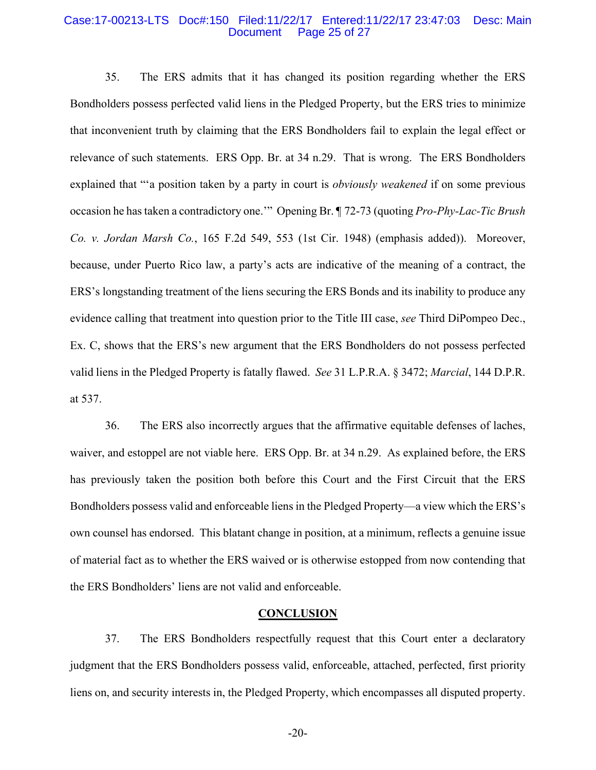#### Case:17-00213-LTS Doc#:150 Filed:11/22/17 Entered:11/22/17 23:47:03 Desc: Main Document Page 25 of 27

35. The ERS admits that it has changed its position regarding whether the ERS Bondholders possess perfected valid liens in the Pledged Property, but the ERS tries to minimize that inconvenient truth by claiming that the ERS Bondholders fail to explain the legal effect or relevance of such statements. ERS Opp. Br. at 34 n.29. That is wrong. The ERS Bondholders explained that "'a position taken by a party in court is *obviously weakened* if on some previous occasion he has taken a contradictory one.'" Opening Br. ¶ 72-73 (quoting *Pro-Phy-Lac-Tic Brush Co. v. Jordan Marsh Co.*, 165 F.2d 549, 553 (1st Cir. 1948) (emphasis added)). Moreover, because, under Puerto Rico law, a party's acts are indicative of the meaning of a contract, the ERS's longstanding treatment of the liens securing the ERS Bonds and its inability to produce any evidence calling that treatment into question prior to the Title III case, *see* Third DiPompeo Dec., Ex. C, shows that the ERS's new argument that the ERS Bondholders do not possess perfected valid liens in the Pledged Property is fatally flawed. *See* 31 L.P.R.A. § 3472; *Marcial*, 144 D.P.R. at 537.

36. The ERS also incorrectly argues that the affirmative equitable defenses of laches, waiver, and estoppel are not viable here. ERS Opp. Br. at 34 n.29. As explained before, the ERS has previously taken the position both before this Court and the First Circuit that the ERS Bondholders possess valid and enforceable liens in the Pledged Property—a view which the ERS's own counsel has endorsed. This blatant change in position, at a minimum, reflects a genuine issue of material fact as to whether the ERS waived or is otherwise estopped from now contending that the ERS Bondholders' liens are not valid and enforceable.

#### **CONCLUSION**

37. The ERS Bondholders respectfully request that this Court enter a declaratory judgment that the ERS Bondholders possess valid, enforceable, attached, perfected, first priority liens on, and security interests in, the Pledged Property, which encompasses all disputed property.

-20-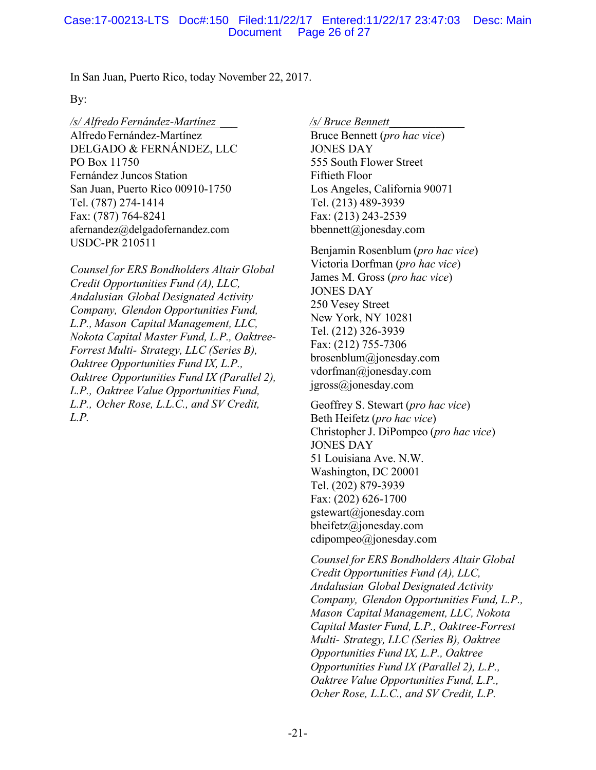# Case:17-00213-LTS Doc#:150 Filed:11/22/17 Entered:11/22/17 23:47:03 Desc: Main Document Page 26 of 27

In San Juan, Puerto Rico, today November 22, 2017.

#### By:

*/s/ Alfredo Fernández-Martínez \_\_\_ /s/ Bruce Bennett\_\_\_\_\_\_\_\_\_\_\_\_\_*  Alfredo Fernández-Martínez DELGADO & FERNÁNDEZ, LLC PO Box 11750 Fernández Juncos Station San Juan, Puerto Rico 00910-1750 Tel. (787) 274-1414 Fax: (787) 764-8241 afernandez@delgadofernandez.com USDC-PR 210511

*Counsel for ERS Bondholders Altair Global Credit Opportunities Fund (A), LLC, Andalusian Global Designated Activity Company, Glendon Opportunities Fund, L.P., Mason Capital Management, LLC, Nokota Capital Master Fund, L.P., Oaktree-Forrest Multi- Strategy, LLC (Series B), Oaktree Opportunities Fund IX, L.P., Oaktree Opportunities Fund IX (Parallel 2), L.P., Oaktree Value Opportunities Fund, L.P., Ocher Rose, L.L.C., and SV Credit, L.P.*

Bruce Bennett (*pro hac vice*) JONES DAY 555 South Flower Street Fiftieth Floor Los Angeles, California 90071 Tel. (213) 489-3939 Fax: (213) 243-2539 bbennett@jonesday.com

Benjamin Rosenblum (*pro hac vice*) Victoria Dorfman (*pro hac vice*) James M. Gross (*pro hac vice*) JONES DAY 250 Vesey Street New York, NY 10281 Tel. (212) 326-3939 Fax: (212) 755-7306 brosenblum@jonesday.com vdorfman@jonesday.com jgross@jonesday.com

Geoffrey S. Stewart (*pro hac vice*) Beth Heifetz (*pro hac vice*) Christopher J. DiPompeo (*pro hac vice*) JONES DAY 51 Louisiana Ave. N.W. Washington, DC 20001 Tel. (202) 879-3939 Fax: (202) 626-1700 gstewart@jonesday.com bheifetz@jonesday.com cdipompeo@jonesday.com

*Counsel for ERS Bondholders Altair Global Credit Opportunities Fund (A), LLC, Andalusian Global Designated Activity Company, Glendon Opportunities Fund, L.P., Mason Capital Management, LLC, Nokota Capital Master Fund, L.P., Oaktree-Forrest Multi- Strategy, LLC (Series B), Oaktree Opportunities Fund IX, L.P., Oaktree Opportunities Fund IX (Parallel 2), L.P., Oaktree Value Opportunities Fund, L.P., Ocher Rose, L.L.C., and SV Credit, L.P.*